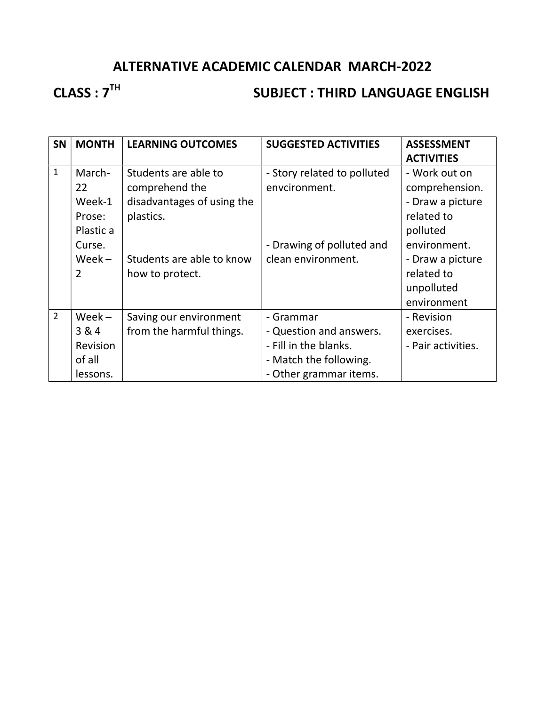### ALTERNATIVE ACADEMIC CALENDAR MARCH-2022

### CLASS : 7<sup>TH</sup> SUBJECT : THIRD LANGUAGE ENGLISH

| <b>SN</b>      | <b>MONTH</b>                                             | <b>LEARNING OUTCOMES</b>                                                          | <b>SUGGESTED ACTIVITIES</b>                                                                                       | <b>ASSESSMENT</b><br><b>ACTIVITIES</b>                                        |
|----------------|----------------------------------------------------------|-----------------------------------------------------------------------------------|-------------------------------------------------------------------------------------------------------------------|-------------------------------------------------------------------------------|
| $\mathbf{1}$   | March-<br>22<br>Week-1<br>Prose:<br>Plastic a            | Students are able to<br>comprehend the<br>disadvantages of using the<br>plastics. | - Story related to polluted<br>envcironment.                                                                      | - Work out on<br>comprehension.<br>- Draw a picture<br>related to<br>polluted |
|                | Curse.<br>$Week -$<br>$\overline{2}$                     | Students are able to know<br>how to protect.                                      | - Drawing of polluted and<br>clean environment.                                                                   | environment.<br>- Draw a picture<br>related to<br>unpolluted<br>environment   |
| $\overline{2}$ | $Week -$<br>3&4<br><b>Revision</b><br>of all<br>lessons. | Saving our environment<br>from the harmful things.                                | - Grammar<br>- Question and answers.<br>- Fill in the blanks.<br>- Match the following.<br>- Other grammar items. | - Revision<br>exercises.<br>- Pair activities.                                |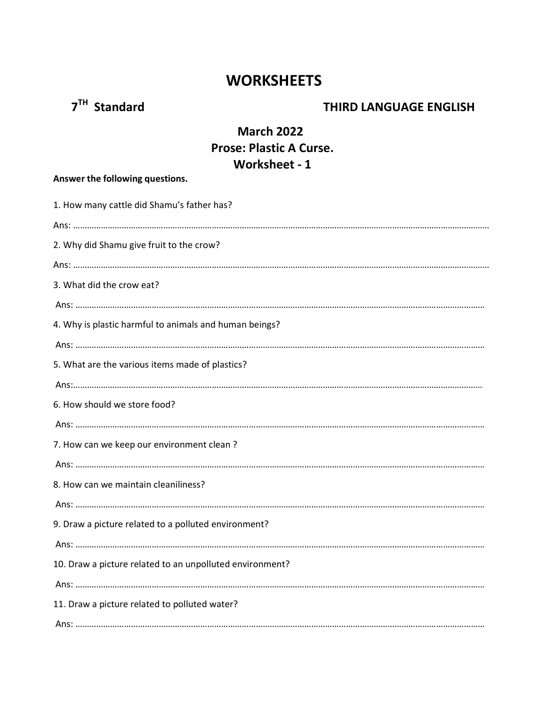### **WORKSHEETS**

## 7<sup>TH</sup> Standard **THIRD LANGUAGE ENGLISH**

### March 2022 Prose: Plastic A Curse. Worksheet - 1

| Answer the following questions.                          |
|----------------------------------------------------------|
| 1. How many cattle did Shamu's father has?               |
|                                                          |
| 2. Why did Shamu give fruit to the crow?                 |
|                                                          |
| 3. What did the crow eat?                                |
|                                                          |
| 4. Why is plastic harmful to animals and human beings?   |
|                                                          |
| 5. What are the various items made of plastics?          |
|                                                          |
| 6. How should we store food?                             |
|                                                          |
| 7. How can we keep our environment clean?                |
|                                                          |
| 8. How can we maintain cleaniliness?                     |
|                                                          |
| 9. Draw a picture related to a polluted environment?     |
|                                                          |
| 10. Draw a picture related to an unpolluted environment? |
|                                                          |
| 11. Draw a picture related to polluted water?            |
|                                                          |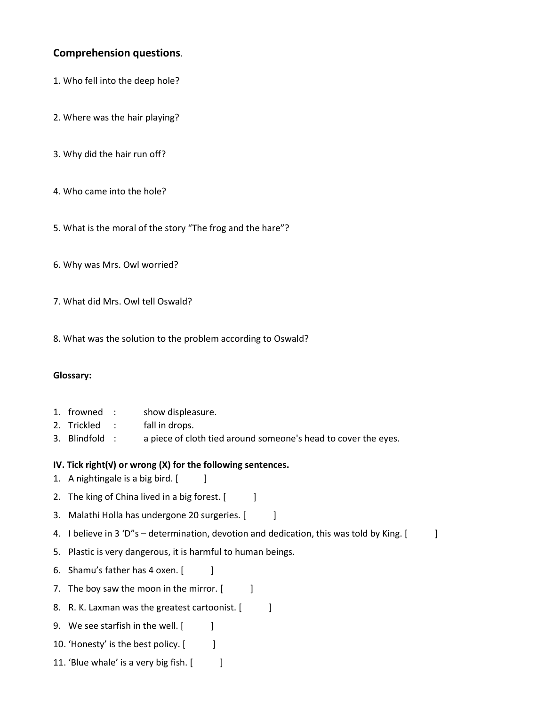### Comprehension questions.

- 1. Who fell into the deep hole?
- 2. Where was the hair playing?
- 3. Why did the hair run off?
- 4. Who came into the hole?
- 5. What is the moral of the story "The frog and the hare"?
- 6. Why was Mrs. Owl worried?
- 7. What did Mrs. Owl tell Oswald?
- 8. What was the solution to the problem according to Oswald?

#### Glossary:

- 1. frowned : show displeasure.
- 2. Trickled : fall in drops.
- 3. Blindfold : a piece of cloth tied around someone's head to cover the eyes.
- IV. Tick right(√) or wrong (X) for the following sentences.
- 1. A nightingale is a big bird. [ ]
- 2. The king of China lived in a big forest.  $[$
- 3. Malathi Holla has undergone 20 surgeries. [ ]
- 4. I believe in 3 'D"s determination, devotion and dedication, this was told by King. [ ]
- 5. Plastic is very dangerous, it is harmful to human beings.
- 6. Shamu's father has 4 oxen. [ ]
- 7. The boy saw the moon in the mirror. [ ]
- 8. R. K. Laxman was the greatest cartoonist. [ ]
- 9. We see starfish in the well. [ ]
- 10. 'Honesty' is the best policy. [ ]
- 11. 'Blue whale' is a very big fish. [ ]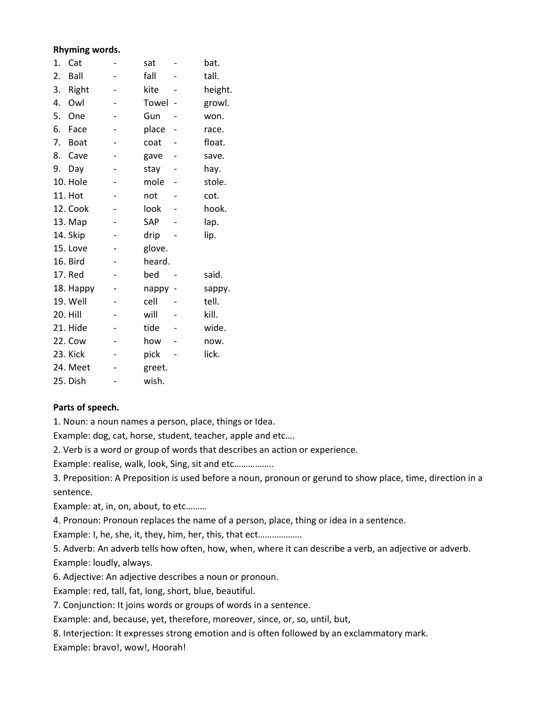#### Rhyming words.

| 1. | Cat         | sat    | bat.    |
|----|-------------|--------|---------|
| 2. | Ball        | fall   | tall.   |
| 3. | Right       | kite   | height. |
| 4. | Owl         | Towel  | growl.  |
| 5. | One         | Gun    | won.    |
| 6. | Face        | place  | race.   |
| 7. | <b>Boat</b> | coat   | float.  |
| 8. | Cave        | gave   | save.   |
| 9. | Day         | stay   | hay.    |
|    | 10. Hole    | mole   | stole.  |
|    | 11. Hot     | not    | cot.    |
|    | 12. Cook    | look   | hook.   |
|    | 13. Map     | SAP    | lap.    |
|    | 14. Skip    | drip   | lip.    |
|    | 15. Love    | glove. |         |
|    | 16. Bird    | heard. |         |
|    | 17. Red     | bed    | said.   |
|    | 18. Happy   | nappy  | sappy.  |
|    | 19. Well    | cell   | tell.   |
|    | 20. Hill    | will   | kill.   |
|    | 21. Hide    | tide   | wide.   |
|    | 22. Cow     | how    | now.    |
|    | 23. Kick    | pick   | lick.   |
|    | 24. Meet    | greet. |         |
|    | 25. Dish    | wish.  |         |

#### Parts of speech.

1. Noun: a noun names a person, place, things or Idea.

Example: dog, cat, horse, student, teacher, apple and etc….

2. Verb is a word or group of words that describes an action or experience.

Example: realise, walk, look, Sing, sit and etc……………..

3. Preposition: A Preposition is used before a noun, pronoun or gerund to show place, time, direction in a sentence.

Example: at, in, on, about, to etc………

4. Pronoun: Pronoun replaces the name of a person, place, thing or idea in a sentence.

Example: I, he, she, it, they, him, her, this, that ect……………….

5. Adverb: An adverb tells how often, how, when, where it can describe a verb, an adjective or adverb. Example: loudly, always.

6. Adjective: An adjective describes a noun or pronoun.

Example: red, tall, fat, long, short, blue, beautiful.

7. Conjunction: It joins words or groups of words in a sentence.

Example: and, because, yet, therefore, moreover, since, or, so, until, but,

8. Interjection: It expresses strong emotion and is often followed by an exclammatory mark.

Example: bravo!, wow!, Hoorah!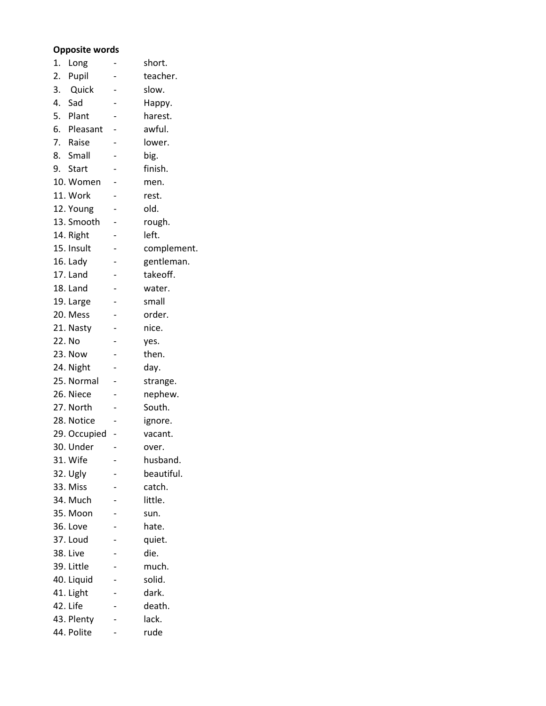#### Opposite words

| 1. | Long         | short.      |
|----|--------------|-------------|
| 2. | Pupil        | teacher.    |
| 3. | Quick        | slow.       |
|    | 4. Sad       | Happy.      |
| 5. | Plant        | harest.     |
|    | 6. Pleasant  | awful.      |
|    | 7. Raise     | lower.      |
|    | 8. Small     | big.        |
|    | 9. Start     | finish.     |
|    | 10. Women    | men.        |
|    | 11. Work     | rest.       |
|    | 12. Young    | old.        |
|    | 13. Smooth   | rough.      |
|    | 14. Right    | left.       |
|    | 15. Insult   | complement. |
|    | 16. Lady     | gentleman.  |
|    | 17. Land     | takeoff.    |
|    | 18. Land     | water.      |
|    | 19. Large    | small       |
|    | 20. Mess     | order.      |
|    | 21. Nasty    | nice.       |
|    | 22. No       | yes.        |
|    | 23. Now      | then.       |
|    | 24. Night    | day.        |
|    | 25. Normal   | strange.    |
|    | 26. Niece    | nephew.     |
|    | 27. North    | South.      |
|    | 28. Notice   | ignore.     |
|    | 29. Occupied | vacant.     |
|    | 30. Under    | over.       |
|    | 31. Wife     | husband.    |
|    | 32. Ugly     | beautiful.  |
|    | 33. Miss     | catch.      |
|    | 34. Much     | little.     |
|    | 35. Moon     | sun.        |
|    | 36. Love     | hate.       |
|    | 37. Loud     | quiet.      |
|    | 38. Live     | die.        |
|    | 39. Little   | much.       |
|    | 40. Liquid   | solid.      |
|    | 41. Light    | dark.       |
|    | 42. Life     | death.      |
|    | 43. Plenty   | lack.       |
|    | 44. Polite   | rude        |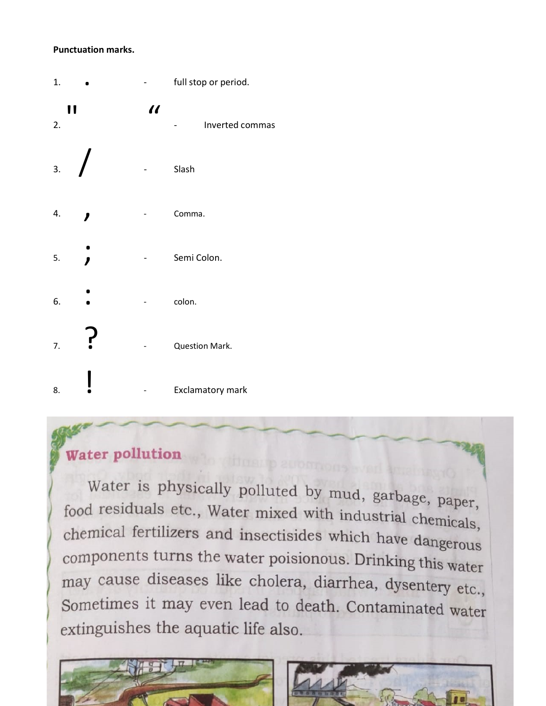#### **Punctuation marks.**

| 1. |    |         | full stop or period. |
|----|----|---------|----------------------|
| 2. | 11 | $\iota$ | Inverted commas      |
| 3. |    |         | Slash                |
| 4. |    |         | Comma.               |
| 5. |    |         | Semi Colon.          |
| 6. |    |         | colon.               |
| 7. | ŗ  |         | Question Mark.       |
| 8. |    |         | Exclamatory mark     |

# Water pollution

Water is physically polluted by mud, garbage, paper, food residuals etc., Water mixed with industrial chemicals, chemical fertilizers and insectisides which have dangerous components turns the water poisionous. Drinking this water may cause diseases like cholera, diarrhea, dysentery etc., Sometimes it may even lead to death. Contaminated water extinguishes the aquatic life also.

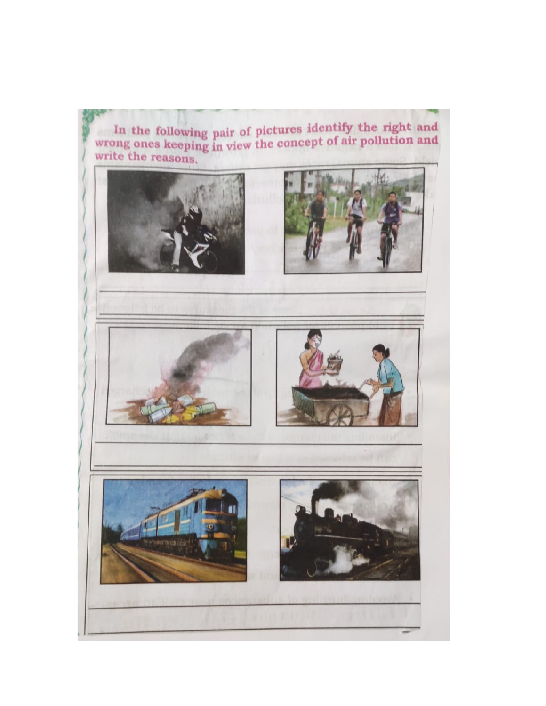